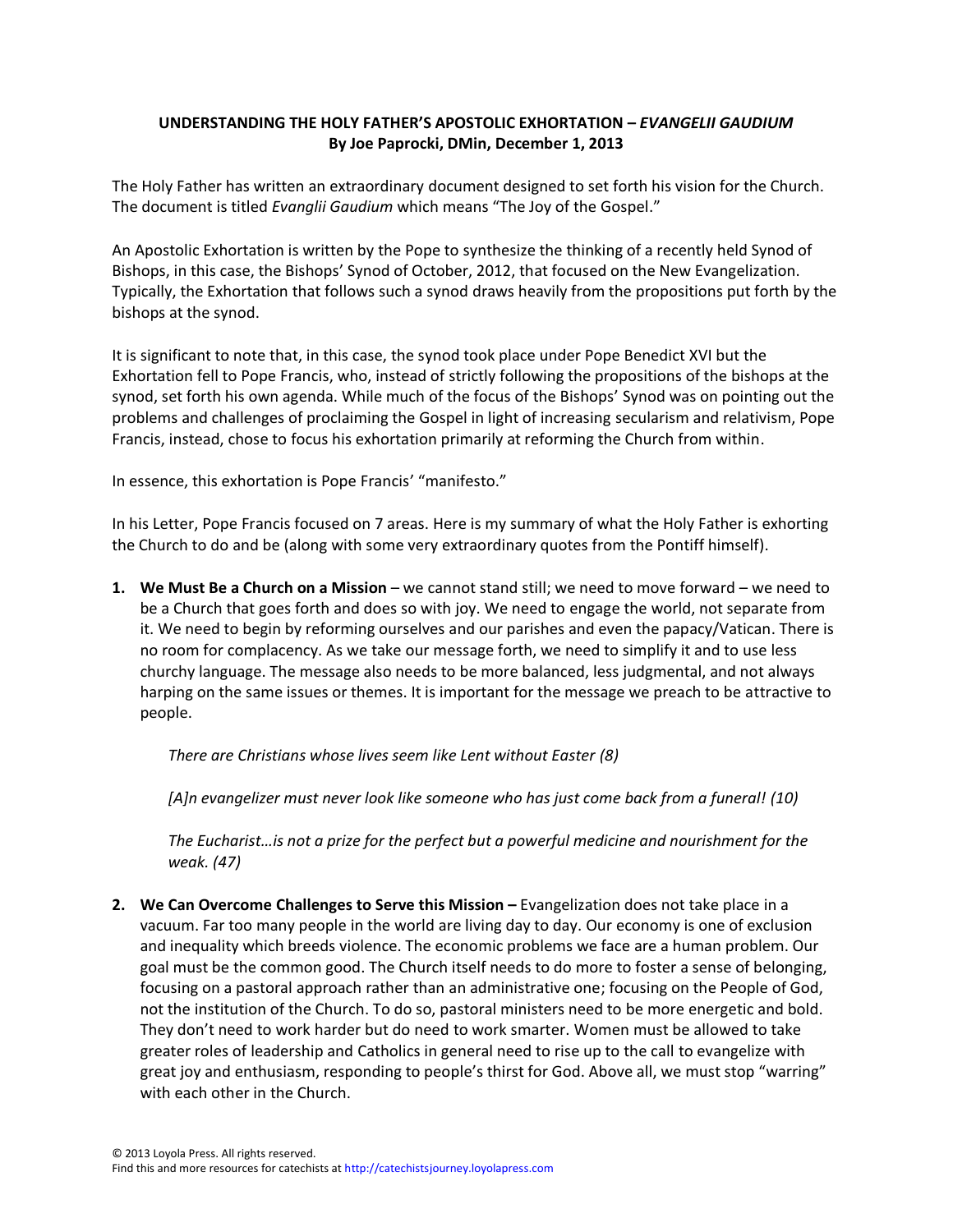## **UNDERSTANDING THE HOLY FATHER'S APOSTOLIC EXHORTATION –** *EVANGELII GAUDIUM* **By Joe Paprocki, DMin, December 1, 2013**

The Holy Father has written an extraordinary document designed to set forth his vision for the Church. The document is titled *Evanglii Gaudium* which means "The Joy of the Gospel."

An Apostolic Exhortation is written by the Pope to synthesize the thinking of a recently held Synod of Bishops, in this case, the Bishops' Synod of October, 2012, that focused on the New Evangelization. Typically, the Exhortation that follows such a synod draws heavily from the propositions put forth by the bishops at the synod.

It is significant to note that, in this case, the synod took place under Pope Benedict XVI but the Exhortation fell to Pope Francis, who, instead of strictly following the propositions of the bishops at the synod, set forth his own agenda. While much of the focus of the Bishops' Synod was on pointing out the problems and challenges of proclaiming the Gospel in light of increasing secularism and relativism, Pope Francis, instead, chose to focus his exhortation primarily at reforming the Church from within.

In essence, this exhortation is Pope Francis' "manifesto."

In his Letter, Pope Francis focused on 7 areas. Here is my summary of what the Holy Father is exhorting the Church to do and be (along with some very extraordinary quotes from the Pontiff himself).

**1. We Must Be a Church on a Mission** – we cannot stand still; we need to move forward – we need to be a Church that goes forth and does so with joy. We need to engage the world, not separate from it. We need to begin by reforming ourselves and our parishes and even the papacy/Vatican. There is no room for complacency. As we take our message forth, we need to simplify it and to use less churchy language. The message also needs to be more balanced, less judgmental, and not always harping on the same issues or themes. It is important for the message we preach to be attractive to people.

*There are Christians whose lives seem like Lent without Easter (8)*

*[A]n evangelizer must never look like someone who has just come back from a funeral! (10)*

*The Eucharist…is not a prize for the perfect but a powerful medicine and nourishment for the weak. (47)*

**2. We Can Overcome Challenges to Serve this Mission –** Evangelization does not take place in a vacuum. Far too many people in the world are living day to day. Our economy is one of exclusion and inequality which breeds violence. The economic problems we face are a human problem. Our goal must be the common good. The Church itself needs to do more to foster a sense of belonging, focusing on a pastoral approach rather than an administrative one; focusing on the People of God, not the institution of the Church. To do so, pastoral ministers need to be more energetic and bold. They don't need to work harder but do need to work smarter. Women must be allowed to take greater roles of leadership and Catholics in general need to rise up to the call to evangelize with great joy and enthusiasm, responding to people's thirst for God. Above all, we must stop "warring" with each other in the Church.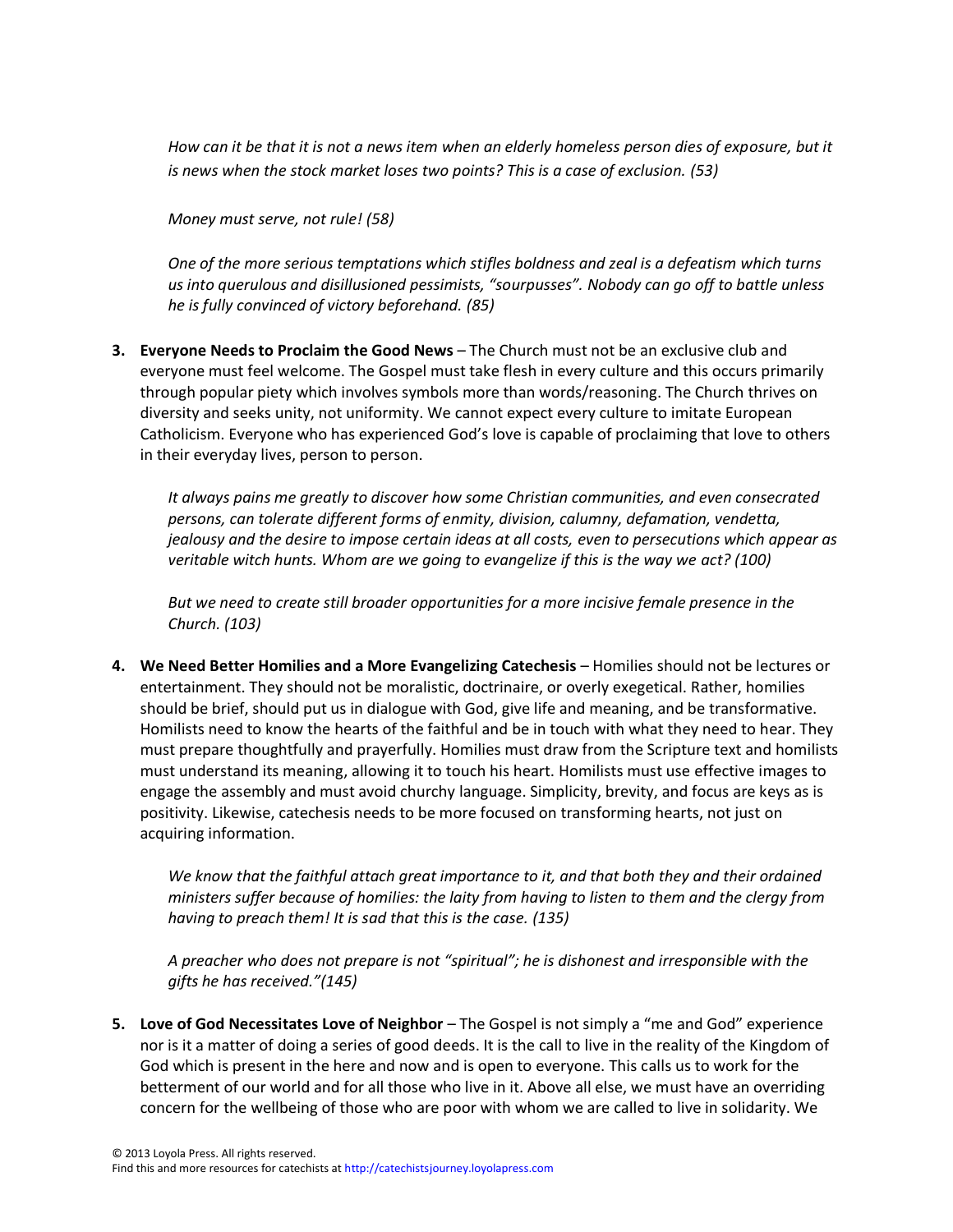How can it be that it is not a news item when an elderly homeless person dies of exposure, but it *is news when the stock market loses two points? This is a case of exclusion. (53)*

*Money must serve, not rule! (58)*

*One of the more serious temptations which stifles boldness and zeal is a defeatism which turns us into querulous and disillusioned pessimists, "sourpusses". Nobody can go off to battle unless he is fully convinced of victory beforehand. (85)*

**3. Everyone Needs to Proclaim the Good News** – The Church must not be an exclusive club and everyone must feel welcome. The Gospel must take flesh in every culture and this occurs primarily through popular piety which involves symbols more than words/reasoning. The Church thrives on diversity and seeks unity, not uniformity. We cannot expect every culture to imitate European Catholicism. Everyone who has experienced God's love is capable of proclaiming that love to others in their everyday lives, person to person.

*It always pains me greatly to discover how some Christian communities, and even consecrated persons, can tolerate different forms of enmity, division, calumny, defamation, vendetta, jealousy and the desire to impose certain ideas at all costs, even to persecutions which appear as veritable witch hunts. Whom are we going to evangelize if this is the way we act? (100)*

*But we need to create still broader opportunities for a more incisive female presence in the Church. (103)*

**4. We Need Better Homilies and a More Evangelizing Catechesis** – Homilies should not be lectures or entertainment. They should not be moralistic, doctrinaire, or overly exegetical. Rather, homilies should be brief, should put us in dialogue with God, give life and meaning, and be transformative. Homilists need to know the hearts of the faithful and be in touch with what they need to hear. They must prepare thoughtfully and prayerfully. Homilies must draw from the Scripture text and homilists must understand its meaning, allowing it to touch his heart. Homilists must use effective images to engage the assembly and must avoid churchy language. Simplicity, brevity, and focus are keys as is positivity. Likewise, catechesis needs to be more focused on transforming hearts, not just on acquiring information.

*We know that the faithful attach great importance to it, and that both they and their ordained ministers suffer because of homilies: the laity from having to listen to them and the clergy from having to preach them! It is sad that this is the case. (135)*

*A preacher who does not prepare is not "spiritual"; he is dishonest and irresponsible with the gifts he has received."(145)*

**5. Love of God Necessitates Love of Neighbor** – The Gospel is not simply a "me and God" experience nor is it a matter of doing a series of good deeds. It is the call to live in the reality of the Kingdom of God which is present in the here and now and is open to everyone. This calls us to work for the betterment of our world and for all those who live in it. Above all else, we must have an overriding concern for the wellbeing of those who are poor with whom we are called to live in solidarity. We